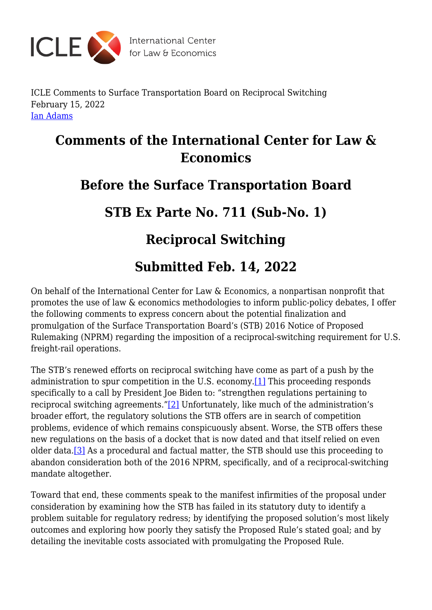

ICLE Comments to Surface Transportation Board on Reciprocal Switching February 15, 2022 [Ian Adams](https://laweconcenter.org/author/ianadams/)

## **Comments of the International Center for Law & Economics**

### **Before the Surface Transportation Board**

## **STB Ex Parte No. 711 (Sub-No. 1)**

# **Reciprocal Switching**

# **Submitted Feb. 14, 2022**

On behalf of the International Center for Law & Economics, a nonpartisan nonprofit that promotes the use of law & economics methodologies to inform public-policy debates, I offer the following comments to express concern about the potential finalization and promulgation of the Surface Transportation Board's (STB) 2016 Notice of Proposed Rulemaking (NPRM) regarding the imposition of a reciprocal-switching requirement for U.S. freight-rail operations.

<span id="page-0-1"></span><span id="page-0-0"></span>The STB's renewed efforts on reciprocal switching have come as part of a push by the administration to spur competition in the U.S. economy.[\[1\]](#page-1-0) This proceeding responds specifically to a call by President Joe Biden to: "strengthen regulations pertaining to reciprocal switching agreements."[\[2\]](#page-1-1) Unfortunately, like much of the administration's broader effort, the regulatory solutions the STB offers are in search of competition problems, evidence of which remains conspicuously absent. Worse, the STB offers these new regulations on the basis of a docket that is now dated and that itself relied on even older data.[\[3\]](#page-1-2) As a procedural and factual matter, the STB should use this proceeding to abandon consideration both of the 2016 NPRM, specifically, and of a reciprocal-switching mandate altogether.

<span id="page-0-2"></span>Toward that end, these comments speak to the manifest infirmities of the proposal under consideration by examining how the STB has failed in its statutory duty to identify a problem suitable for regulatory redress; by identifying the proposed solution's most likely outcomes and exploring how poorly they satisfy the Proposed Rule's stated goal; and by detailing the inevitable costs associated with promulgating the Proposed Rule.